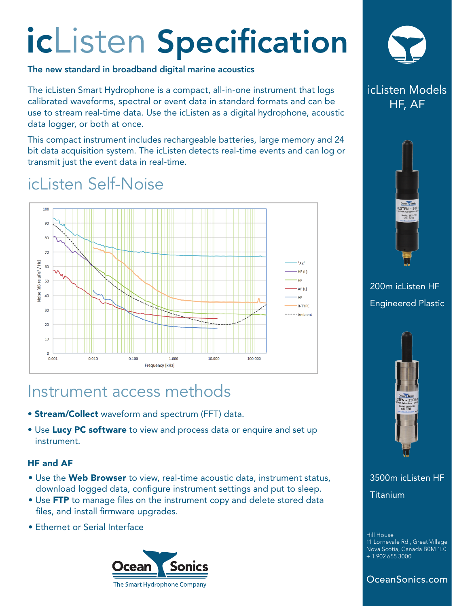# icListen Specification

#### The new standard in broadband digital marine acoustics

The icListen Smart Hydrophone is a compact, all-in-one instrument that logs calibrated waveforms, spectral or event data in standard formats and can be use to stream real-time data. Use the icListen as a digital hydrophone, acoustic data logger, or both at once.

This compact instrument includes rechargeable batteries, large memory and 24 bit data acquisition system. The icListen detects real-time events and can log or transmit just the event data in real-time.

# icl isten Self-Noise



## Instrument access methods

- **Stream/Collect** waveform and spectrum (FFT) data.
- Use Lucy PC software to view and process data or enquire and set up instrument.

#### HF and AF

- Use the Web Browser to view, real-time acoustic data, instrument status, download logged data, configure instrument settings and put to sleep.
- Use FTP to manage files on the instrument copy and delete stored data files, and install firmware upgrades.
- Ethernet or Serial Interface





## icListen Models HF, AF



### 200m icListen HF Engineered Plastic



3500m icListen HF Titanium

Hill House 11 Lornevale Rd., Great Village Nova Scotia, Canada B0M 1L0 + 1 902 655 3000